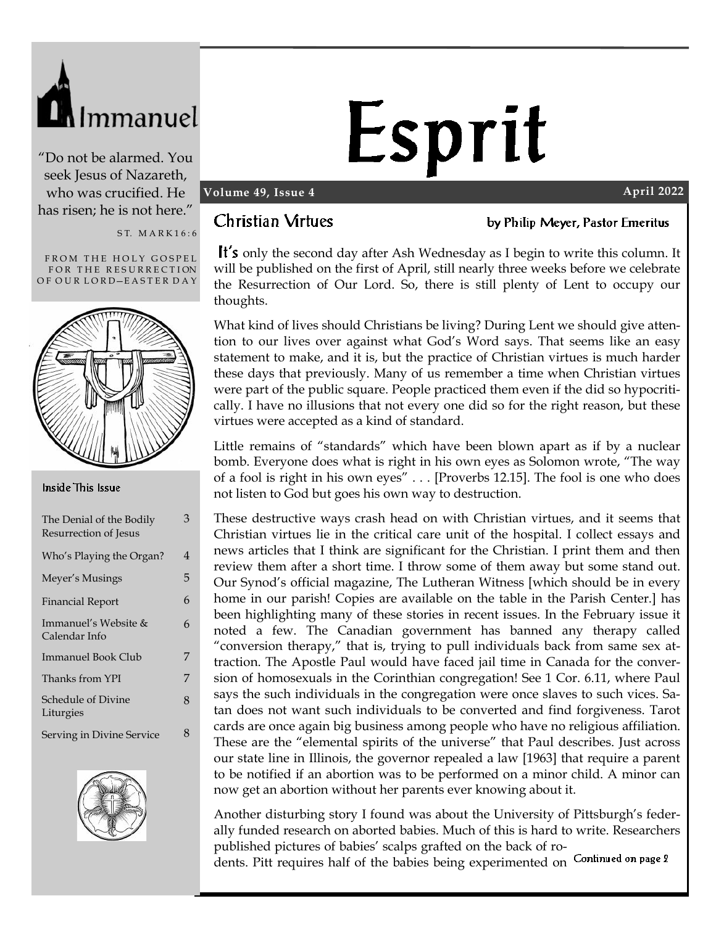

"Do not be alarmed. You seek Jesus of Nazareth, who was crucified. He has risen; he is not here."

S T. M A R K 1 6 : 6

FROM THE HOLY GOSPEL FOR THE RESURRECTION OF OUR LORD-EASTER DAY



#### Inside This Issue

| The Denial of the Bodily<br>Resurrection of Jesus | 3 |
|---------------------------------------------------|---|
| Who's Playing the Organ?                          | 4 |
| Meyer's Musings                                   | 5 |
| <b>Financial Report</b>                           | 6 |
| Immanuel's Website &<br>Calendar Info             | 6 |
| Immanuel Book Club                                | 7 |
| Thanks from YPI                                   | 7 |
| Schedule of Divine<br>Liturgies                   | 8 |
| Serving in Divine Service                         | 8 |



# Esprit

#### **Volume 49, Issue 4 April 2022**

#### **Christian Virtues**

by Philip Meyer, Pastor Emeritus

It's only the second day after Ash Wednesday as I begin to write this column. It will be published on the first of April, still nearly three weeks before we celebrate the Resurrection of Our Lord. So, there is still plenty of Lent to occupy our thoughts.

What kind of lives should Christians be living? During Lent we should give attention to our lives over against what God's Word says. That seems like an easy statement to make, and it is, but the practice of Christian virtues is much harder these days that previously. Many of us remember a time when Christian virtues were part of the public square. People practiced them even if the did so hypocritically. I have no illusions that not every one did so for the right reason, but these virtues were accepted as a kind of standard.

Little remains of "standards" which have been blown apart as if by a nuclear bomb. Everyone does what is right in his own eyes as Solomon wrote, "The way of a fool is right in his own eyes" . . . [Proverbs 12.15]. The fool is one who does not listen to God but goes his own way to destruction.

These destructive ways crash head on with Christian virtues, and it seems that Christian virtues lie in the critical care unit of the hospital. I collect essays and news articles that I think are significant for the Christian. I print them and then review them after a short time. I throw some of them away but some stand out. Our Synod's official magazine, The Lutheran Witness [which should be in every home in our parish! Copies are available on the table in the Parish Center.] has been highlighting many of these stories in recent issues. In the February issue it noted a few. The Canadian government has banned any therapy called "conversion therapy," that is, trying to pull individuals back from same sex attraction. The Apostle Paul would have faced jail time in Canada for the conversion of homosexuals in the Corinthian congregation! See 1 Cor. 6.11, where Paul says the such individuals in the congregation were once slaves to such vices. Satan does not want such individuals to be converted and find forgiveness. Tarot cards are once again big business among people who have no religious affiliation. These are the "elemental spirits of the universe" that Paul describes. Just across our state line in Illinois, the governor repealed a law [1963] that require a parent to be notified if an abortion was to be performed on a minor child. A minor can now get an abortion without her parents ever knowing about it.

Another disturbing story I found was about the University of Pittsburgh's federally funded research on aborted babies. Much of this is hard to write. Researchers published pictures of babies' scalps grafted on the back of ro-

dents. Pitt requires half of the babies being experimented on Continued on page 2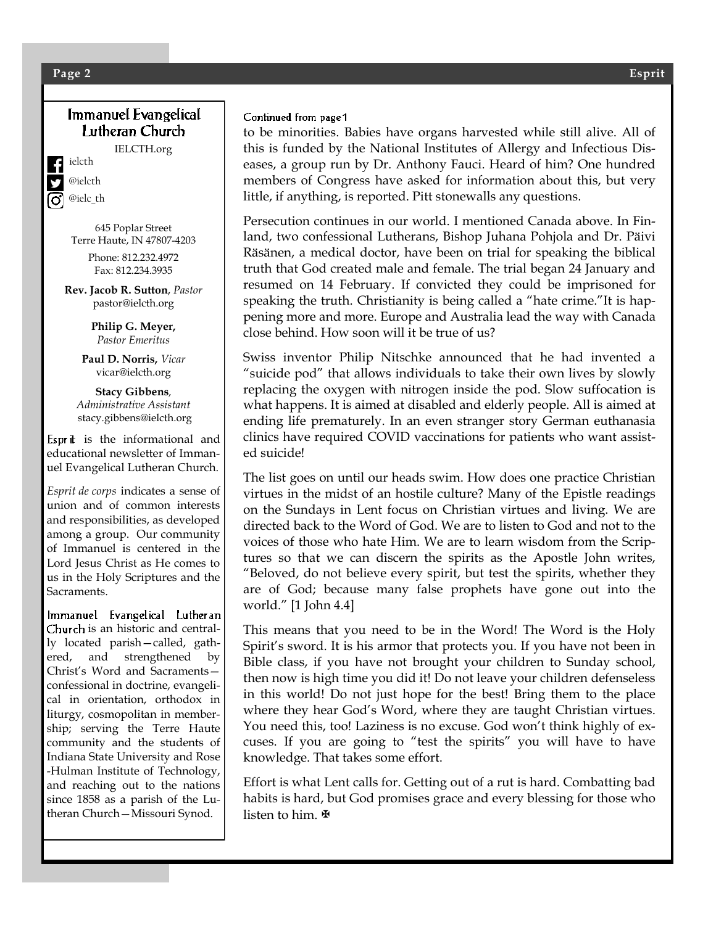#### **Page 2 Esprit**

#### Immanuel Evangelical Lutheran Church

IELCTH.org

ielcth @ielcth @ielc\_th

645 Poplar Street Terre Haute, IN 47807-4203

Phone: 812.232.4972 Fax: 812.234.3935

**Rev. Jacob R. Sutton**, *Pastor* pastor@ielcth.org

> **Philip G. Meyer,** *Pastor Emeritus*

**Paul D. Norris,** *Vicar* vicar@ielcth.org

**Stacy Gibbens***, Administrative Assistant* stacy.gibbens@ielcth.org

Esprit is the informational and educational newsletter of Immanuel Evangelical Lutheran Church.

*Esprit de corps* indicates a sense of union and of common interests and responsibilities, as developed among a group. Our community of Immanuel is centered in the Lord Jesus Christ as He comes to us in the Holy Scriptures and the Sacraments.

Immanuel Evangelical Lutheran Church is an historic and centrally located parish—called, gathered, and strengthened by Christ's Word and Sacraments confessional in doctrine, evangelical in orientation, orthodox in liturgy, cosmopolitan in membership; serving the Terre Haute community and the students of Indiana State University and Rose -Hulman Institute of Technology, and reaching out to the nations since 1858 as a parish of the Lutheran Church—Missouri Synod.

#### Continued from page 1

to be minorities. Babies have organs harvested while still alive. All of this is funded by the National Institutes of Allergy and Infectious Diseases, a group run by Dr. Anthony Fauci. Heard of him? One hundred members of Congress have asked for information about this, but very little, if anything, is reported. Pitt stonewalls any questions.

Persecution continues in our world. I mentioned Canada above. In Finland, two confessional Lutherans, Bishop Juhana Pohjola and Dr. Päivi Räsänen, a medical doctor, have been on trial for speaking the biblical truth that God created male and female. The trial began 24 January and resumed on 14 February. If convicted they could be imprisoned for speaking the truth. Christianity is being called a "hate crime."It is happening more and more. Europe and Australia lead the way with Canada close behind. How soon will it be true of us?

Swiss inventor Philip Nitschke announced that he had invented a "suicide pod" that allows individuals to take their own lives by slowly replacing the oxygen with nitrogen inside the pod. Slow suffocation is what happens. It is aimed at disabled and elderly people. All is aimed at ending life prematurely. In an even stranger story German euthanasia clinics have required COVID vaccinations for patients who want assisted suicide!

The list goes on until our heads swim. How does one practice Christian virtues in the midst of an hostile culture? Many of the Epistle readings on the Sundays in Lent focus on Christian virtues and living. We are directed back to the Word of God. We are to listen to God and not to the voices of those who hate Him. We are to learn wisdom from the Scriptures so that we can discern the spirits as the Apostle John writes, "Beloved, do not believe every spirit, but test the spirits, whether they are of God; because many false prophets have gone out into the world." [1 John 4.4]

This means that you need to be in the Word! The Word is the Holy Spirit's sword. It is his armor that protects you. If you have not been in Bible class, if you have not brought your children to Sunday school, then now is high time you did it! Do not leave your children defenseless in this world! Do not just hope for the best! Bring them to the place where they hear God's Word, where they are taught Christian virtues. You need this, too! Laziness is no excuse. God won't think highly of excuses. If you are going to "test the spirits" you will have to have knowledge. That takes some effort.

Effort is what Lent calls for. Getting out of a rut is hard. Combatting bad habits is hard, but God promises grace and every blessing for those who listen to him. **⊮**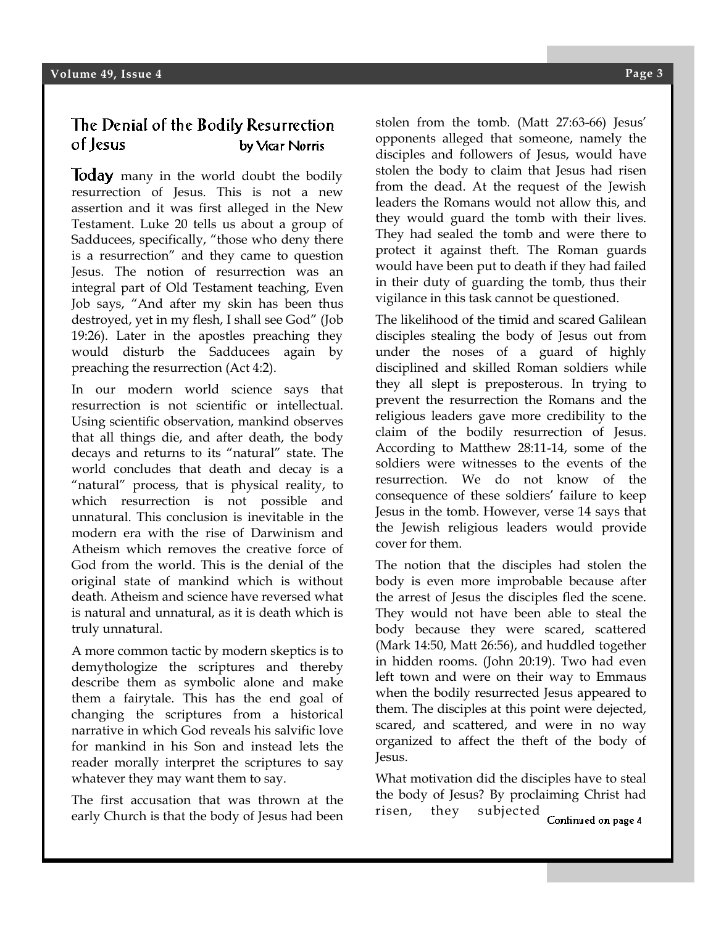#### The Denial of the Bodily Resurrection of Jesus by Vicar Norris

**Today** many in the world doubt the bodily resurrection of Jesus. This is not a new assertion and it was first alleged in the New Testament. Luke 20 tells us about a group of Sadducees, specifically, "those who deny there is a resurrection" and they came to question Jesus. The notion of resurrection was an integral part of Old Testament teaching, Even Job says, "And after my skin has been thus destroyed, yet in my flesh, I shall see God" (Job 19:26). Later in the apostles preaching they would disturb the Sadducees again by preaching the resurrection (Act 4:2).

In our modern world science says that resurrection is not scientific or intellectual. Using scientific observation, mankind observes that all things die, and after death, the body decays and returns to its "natural" state. The world concludes that death and decay is a "natural" process, that is physical reality, to which resurrection is not possible and unnatural. This conclusion is inevitable in the modern era with the rise of Darwinism and Atheism which removes the creative force of God from the world. This is the denial of the original state of mankind which is without death. Atheism and science have reversed what is natural and unnatural, as it is death which is truly unnatural.

A more common tactic by modern skeptics is to demythologize the scriptures and thereby describe them as symbolic alone and make them a fairytale. This has the end goal of changing the scriptures from a historical narrative in which God reveals his salvific love for mankind in his Son and instead lets the reader morally interpret the scriptures to say whatever they may want them to say.

The first accusation that was thrown at the early Church is that the body of Jesus had been stolen from the tomb. (Matt 27:63-66) Jesus' opponents alleged that someone, namely the disciples and followers of Jesus, would have stolen the body to claim that Jesus had risen from the dead. At the request of the Jewish leaders the Romans would not allow this, and they would guard the tomb with their lives. They had sealed the tomb and were there to protect it against theft. The Roman guards would have been put to death if they had failed in their duty of guarding the tomb, thus their vigilance in this task cannot be questioned.

The likelihood of the timid and scared Galilean disciples stealing the body of Jesus out from under the noses of a guard of highly disciplined and skilled Roman soldiers while they all slept is preposterous. In trying to prevent the resurrection the Romans and the religious leaders gave more credibility to the claim of the bodily resurrection of Jesus. According to Matthew 28:11-14, some of the soldiers were witnesses to the events of the resurrection. We do not know of the consequence of these soldiers' failure to keep Jesus in the tomb. However, verse 14 says that the Jewish religious leaders would provide cover for them.

The notion that the disciples had stolen the body is even more improbable because after the arrest of Jesus the disciples fled the scene. They would not have been able to steal the body because they were scared, scattered (Mark 14:50, Matt 26:56), and huddled together in hidden rooms. (John 20:19). Two had even left town and were on their way to Emmaus when the bodily resurrected Jesus appeared to them. The disciples at this point were dejected, scared, and scattered, and were in no way organized to affect the theft of the body of Jesus.

What motivation did the disciples have to steal the body of Jesus? By proclaiming Christ had risen, they subjected Continued on page 4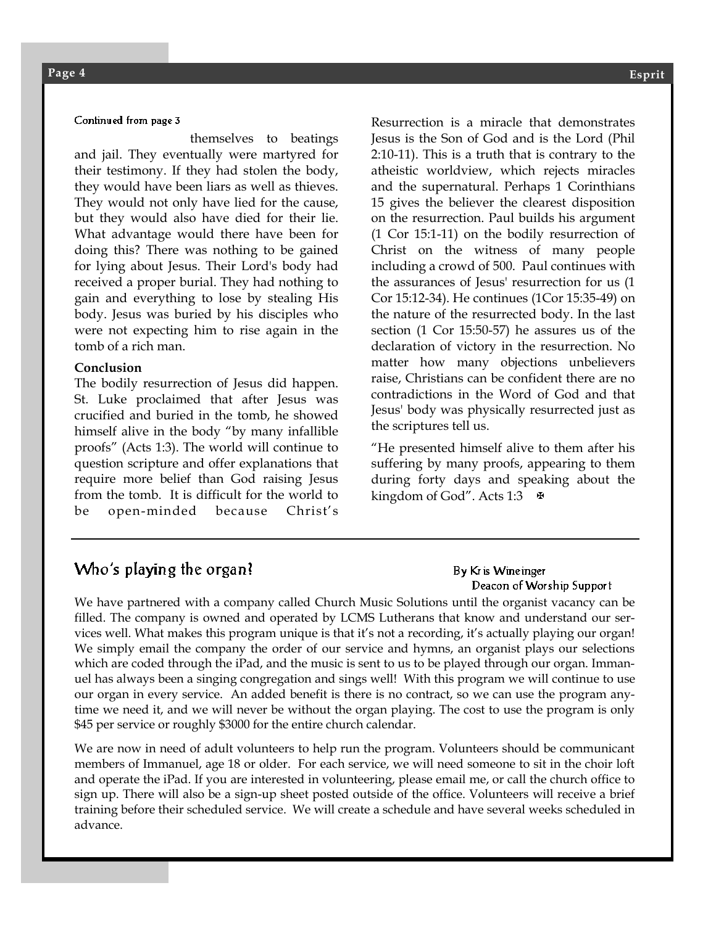#### Continued from page 3

themselves to beatings and jail. They eventually were martyred for their testimony. If they had stolen the body, they would have been liars as well as thieves. They would not only have lied for the cause, but they would also have died for their lie. What advantage would there have been for doing this? There was nothing to be gained for lying about Jesus. Their Lord's body had received a proper burial. They had nothing to gain and everything to lose by stealing His body. Jesus was buried by his disciples who were not expecting him to rise again in the tomb of a rich man.

#### **Conclusion**

The bodily resurrection of Jesus did happen. St. Luke proclaimed that after Jesus was crucified and buried in the tomb, he showed himself alive in the body "by many infallible proofs" (Acts 1:3). The world will continue to question scripture and offer explanations that require more belief than God raising Jesus from the tomb. It is difficult for the world to be open-minded because Christ's

Resurrection is a miracle that demonstrates Jesus is the Son of God and is the Lord (Phil 2:10-11). This is a truth that is contrary to the atheistic worldview, which rejects miracles and the supernatural. Perhaps 1 Corinthians 15 gives the believer the clearest disposition on the resurrection. Paul builds his argument (1 Cor 15:1-11) on the bodily resurrection of Christ on the witness of many people including a crowd of 500. Paul continues with the assurances of Jesus' resurrection for us (1 Cor 15:12-34). He continues (1Cor 15:35-49) on the nature of the resurrected body. In the last section (1 Cor 15:50-57) he assures us of the declaration of victory in the resurrection. No matter how many objections unbelievers raise, Christians can be confident there are no contradictions in the Word of God and that Jesus' body was physically resurrected just as the scriptures tell us.

"He presented himself alive to them after his suffering by many proofs, appearing to them during forty days and speaking about the kingdom of God". Acts 1:3  $\Phi$ 

#### Who's playing the organ?

By Kr is Wineinger Deacon of Worship Support

We have partnered with a company called Church Music Solutions until the organist vacancy can be filled. The company is owned and operated by LCMS Lutherans that know and understand our services well. What makes this program unique is that it's not a recording, it's actually playing our organ! We simply email the company the order of our service and hymns, an organist plays our selections which are coded through the iPad, and the music is sent to us to be played through our organ. Immanuel has always been a singing congregation and sings well! With this program we will continue to use our organ in every service. An added benefit is there is no contract, so we can use the program anytime we need it, and we will never be without the organ playing. The cost to use the program is only \$45 per service or roughly \$3000 for the entire church calendar.

We are now in need of adult volunteers to help run the program. Volunteers should be communicant members of Immanuel, age 18 or older. For each service, we will need someone to sit in the choir loft and operate the iPad. If you are interested in volunteering, please email me, or call the church office to sign up. There will also be a sign-up sheet posted outside of the office. Volunteers will receive a brief training before their scheduled service. We will create a schedule and have several weeks scheduled in advance.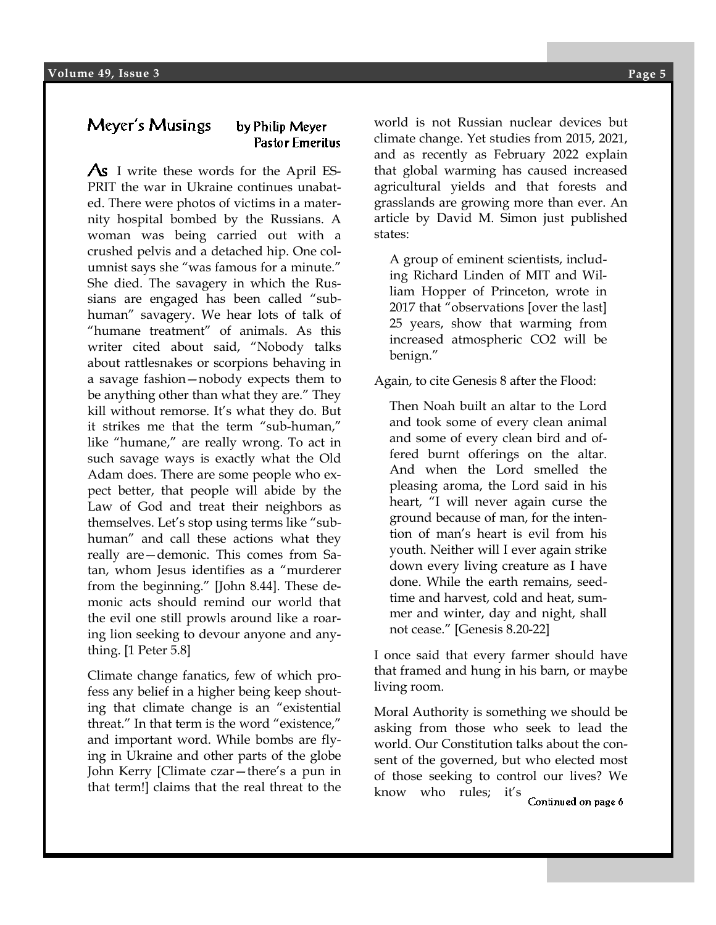#### Meyer's Musings by Philip Meyer **Pastor Emeritus**

As I write these words for the April ES-PRIT the war in Ukraine continues unabated. There were photos of victims in a maternity hospital bombed by the Russians. A woman was being carried out with a crushed pelvis and a detached hip. One columnist says she "was famous for a minute." She died. The savagery in which the Russians are engaged has been called "subhuman" savagery. We hear lots of talk of "humane treatment" of animals. As this writer cited about said, "Nobody talks about rattlesnakes or scorpions behaving in a savage fashion—nobody expects them to be anything other than what they are." They kill without remorse. It's what they do. But it strikes me that the term "sub-human," like "humane," are really wrong. To act in such savage ways is exactly what the Old Adam does. There are some people who expect better, that people will abide by the Law of God and treat their neighbors as themselves. Let's stop using terms like "subhuman" and call these actions what they really are—demonic. This comes from Satan, whom Jesus identifies as a "murderer from the beginning." [John 8.44]. These demonic acts should remind our world that the evil one still prowls around like a roaring lion seeking to devour anyone and anything. [1 Peter 5.8]

Climate change fanatics, few of which profess any belief in a higher being keep shouting that climate change is an "existential threat." In that term is the word "existence," and important word. While bombs are flying in Ukraine and other parts of the globe John Kerry [Climate czar—there's a pun in that term!] claims that the real threat to the

and as recently as February 2022 explain world is not Russian nuclear devices but climate change. Yet studies from 2015, 2021, that global warming has caused increased agricultural yields and that forests and grasslands are growing more than ever. An article by David M. Simon just published states:

A group of eminent scientists, including Richard Linden of MIT and William Hopper of Princeton, wrote in 2017 that "observations [over the last] 25 years, show that warming from increased atmospheric CO2 will be benign."

Again, to cite Genesis 8 after the Flood:

Then Noah built an altar to the Lord and took some of every clean animal and some of every clean bird and offered burnt offerings on the altar. And when the Lord smelled the pleasing aroma, the Lord said in his heart, "I will never again curse the ground because of man, for the intention of man's heart is evil from his youth. Neither will I ever again strike down every living creature as I have done. While the earth remains, seedtime and harvest, cold and heat, summer and winter, day and night, shall not cease." [Genesis 8.20-22]

I once said that every farmer should have that framed and hung in his barn, or maybe living room.

Moral Authority is something we should be asking from those who seek to lead the world. Our Constitution talks about the consent of the governed, but who elected most of those seeking to control our lives? We know who rules; it's

Continued on page 6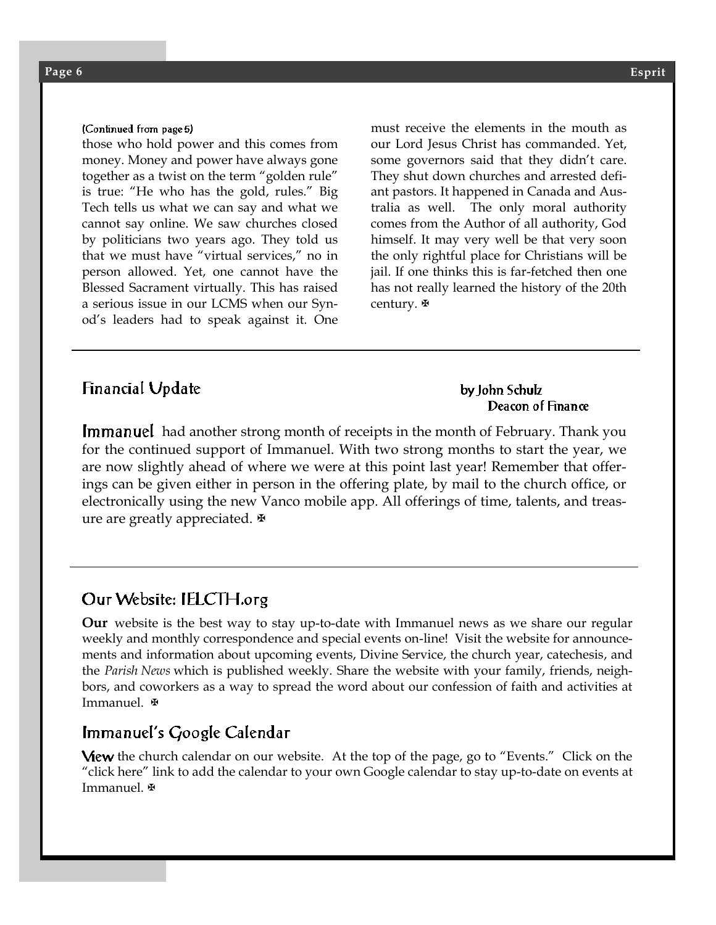#### (Continued from page 5)

those who hold power and this comes from money. Money and power have always gone together as a twist on the term "golden rule" is true: "He who has the gold, rules." Big Tech tells us what we can say and what we cannot say online. We saw churches closed by politicians two years ago. They told us that we must have "virtual services," no in person allowed. Yet, one cannot have the Blessed Sacrament virtually. This has raised a serious issue in our LCMS when our Synod's leaders had to speak against it. One

must receive the elements in the mouth as our Lord Jesus Christ has commanded. Yet, some governors said that they didn't care. They shut down churches and arrested defiant pastors. It happened in Canada and Australia as well. The only moral authority comes from the Author of all authority, God himself. It may very well be that very soon the only rightful place for Christians will be jail. If one thinks this is far-fetched then one has not really learned the history of the 20th century. **₩** 

#### **Financial Update**

#### by John Schulz Deacon of Finance

**Immanuel** had another strong month of receipts in the month of February. Thank you for the continued support of Immanuel. With two strong months to start the year, we are now slightly ahead of where we were at this point last year! Remember that offerings can be given either in person in the offering plate, by mail to the church office, or electronically using the new Vanco mobile app. All offerings of time, talents, and treasure are greatly appreciated.

### Our Website: IELCTH.org

**Our** website is the best way to stay up-to-date with Immanuel news as we share our regular weekly and monthly correspondence and special events on-line! Visit the website for announcements and information about upcoming events, Divine Service, the church year, catechesis, and the *Parish News* which is published weekly. Share the website with your family, friends, neighbors, and coworkers as a way to spread the word about our confession of faith and activities at Immanuel.

#### Immanuel's Google Calendar

**View** the church calendar on our website. At the top of the page, go to "Events." Click on the "click here" link to add the calendar to your own Google calendar to stay up-to-date on events at Immanuel.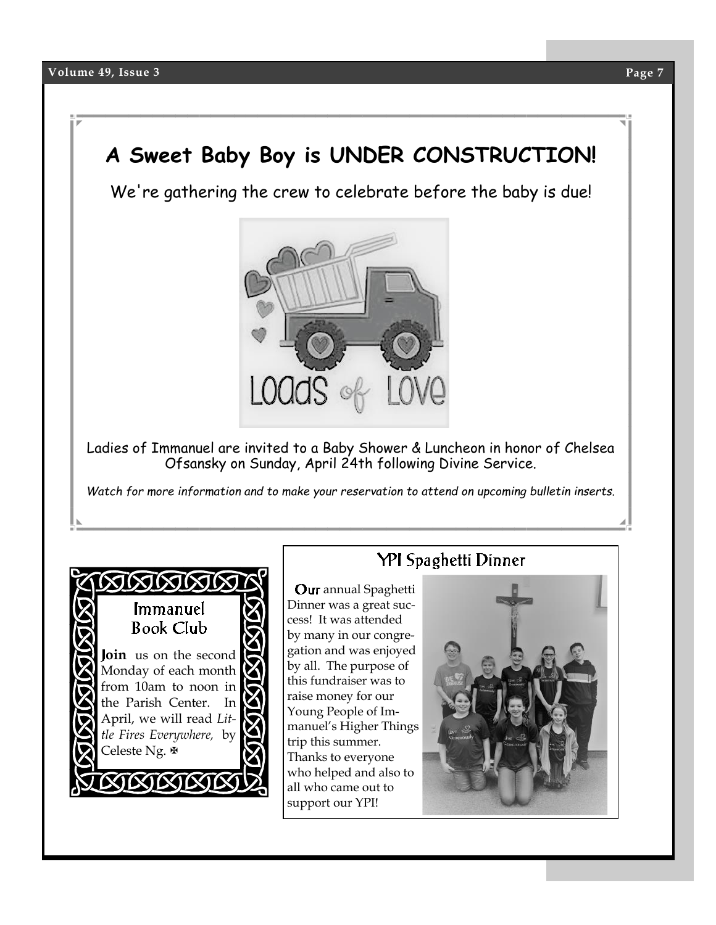# **A Sweet Baby Boy is UNDER CONSTRUCTION!**

We're gathering the crew to celebrate before the baby is due!



Ladies of Immanuel are invited to a Baby Shower & Luncheon in honor of Chelsea Ofsansky on Sunday, April 24th following Divine Service.

*Watch for more information and to make your reservation to attend on upcoming bulletin inserts.*



## **YPI** Spaghetti Dinner

**Our** annual Spaghetti Dinner was a great success! It was attended by many in our congregation and was enjoyed by all. The purpose of this fundraiser was to raise money for our Young People of Immanuel's Higher Things trip this summer. Thanks to everyone who helped and also to all who came out to support our YPI!